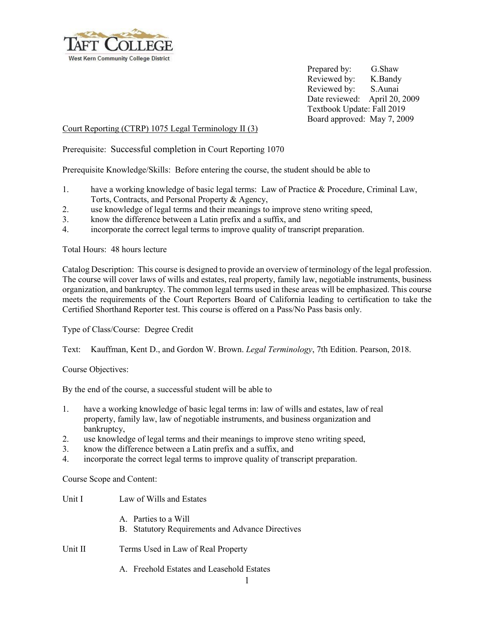

Prepared by: G.Shaw Reviewed by: K.Bandy Reviewed by: S.Aunai Date reviewed: April 20, 2009 Textbook Update: Fall 2019 Board approved: May 7, 2009

## Court Reporting (CTRP) 1075 Legal Terminology II (3)

Prerequisite: Successful completion in Court Reporting 1070

Prerequisite Knowledge/Skills: Before entering the course, the student should be able to

- 1. have a working knowledge of basic legal terms: Law of Practice & Procedure, Criminal Law, Torts, Contracts, and Personal Property & Agency,
- 2. use knowledge of legal terms and their meanings to improve steno writing speed,
- 3. know the difference between a Latin prefix and a suffix, and
- 4. incorporate the correct legal terms to improve quality of transcript preparation.

Total Hours: 48 hours lecture

Catalog Description: This course is designed to provide an overview of terminology of the legal profession. The course will cover laws of wills and estates, real property, family law, negotiable instruments, business organization, and bankruptcy. The common legal terms used in these areas will be emphasized. This course meets the requirements of the Court Reporters Board of California leading to certification to take the Certified Shorthand Reporter test. This course is offered on a Pass/No Pass basis only.

Type of Class/Course: Degree Credit

Text: Kauffman, Kent D., and Gordon W. Brown. *Legal Terminology*, 7th Edition. Pearson, 2018.

Course Objectives:

By the end of the course, a successful student will be able to

- 1. have a working knowledge of basic legal terms in: law of wills and estates, law of real property, family law, law of negotiable instruments, and business organization and bankruptcy,
- 2. use knowledge of legal terms and their meanings to improve steno writing speed,
- 3. know the difference between a Latin prefix and a suffix, and
- 4. incorporate the correct legal terms to improve quality of transcript preparation.

Course Scope and Content:

| Unit I  | Law of Wills and Estates                                                 |
|---------|--------------------------------------------------------------------------|
|         | A. Parties to a Will<br>B. Statutory Requirements and Advance Directives |
| Unit II | Terms Used in Law of Real Property                                       |

- - A. Freehold Estates and Leasehold Estates